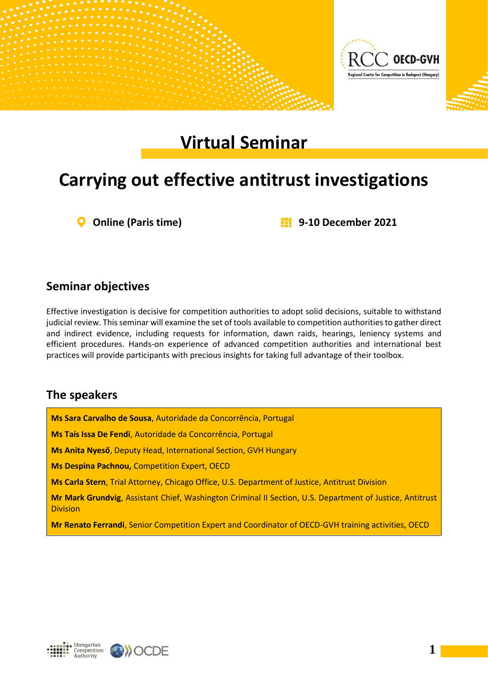

# **Virtual Seminar**

## **Carrying out effective antitrust investigations**

**Online (Paris time) 9-10 December 2021**

### **Seminar objectives**

Effective investigation is decisive for competition authorities to adopt solid decisions, suitable to withstand judicial review. This seminar will examine the set of tools available to competition authorities to gather direct and indirect evidence, including requests for information, dawn raids, hearings, leniency systems and efficient procedures. Hands-on experience of advanced competition authorities and international best practices will provide participants with precious insights for taking full advantage of their toolbox.

#### **The speakers**

**Ms Sara Carvalho de Sousa**, Autoridade da Concorrência, Portugal **Ms Taís Issa De Fendi**, Autoridade da Concorrência, Portugal **Ms Anita Nyeső**, Deputy Head, International Section, GVH Hungary **Ms Despina Pachnou,** Competition Expert, OECD **Ms Carla Stern**, Trial Attorney, Chicago Office, U.S. Department of Justice, Antitrust Division **Mr Mark Grundvig**, Assistant Chief, Washington Criminal II Section, U.S. Department of Justice, Antitrust Division

**Mr Renato Ferrandi**, Senior Competition Expert and Coordinator of OECD-GVH training activities, OECD